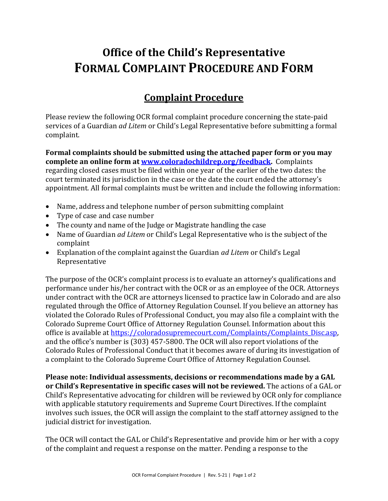# **Office of the Child's Representative FORMAL COMPLAINT PROCEDURE AND FORM**

## **Complaint Procedure**

Please review the following OCR formal complaint procedure concerning the state-paid services of a Guardian *ad Litem* or Child's Legal Representative before submitting a formal complaint.

**Formal complaints should be submitted using the attached paper form or you may complete an online form at [www.coloradochildrep.org/feedback.](http://www.coloradochildrep.org/feedback/)** Complaints regarding closed cases must be filed within one year of the earlier of the two dates: the court terminated its jurisdiction in the case or the date the court ended the attorney's appointment. All formal complaints must be written and include the following information:

- Name, address and telephone number of person submitting complaint
- Type of case and case number
- The county and name of the Judge or Magistrate handling the case
- Name of Guardian *ad Litem* or Child's Legal Representative who is the subject of the complaint
- Explanation of the complaint against the Guardian *ad Litem* or Child's Legal Representative

The purpose of the OCR's complaint process is to evaluate an attorney's qualifications and performance under his/her contract with the OCR or as an employee of the OCR. Attorneys under contract with the OCR are attorneys licensed to practice law in Colorado and are also regulated through the Office of Attorney Regulation Counsel. If you believe an attorney has violated the Colorado Rules of Professional Conduct, you may also file a complaint with the Colorado Supreme Court Office of Attorney Regulation Counsel. Information about this office is available at https://coloradosupremecourt.com/Complaints/Complaints Disc.asp, and the office's number is (303) 457-5800. The OCR will also report violations of the Colorado Rules of Professional Conduct that it becomes aware of during its investigation of a complaint to the Colorado Supreme Court Office of Attorney Regulation Counsel.

**Please note: Individual assessments, decisions or recommendations made by a GAL or Child's Representative in specific cases will not be reviewed.** The actions of a GAL or Child's Representative advocating for children will be reviewed by OCR only for compliance with applicable statutory requirements and Supreme Court Directives. If the complaint involves such issues, the OCR will assign the complaint to the staff attorney assigned to the judicial district for investigation.

The OCR will contact the GAL or Child's Representative and provide him or her with a copy of the complaint and request a response on the matter. Pending a response to the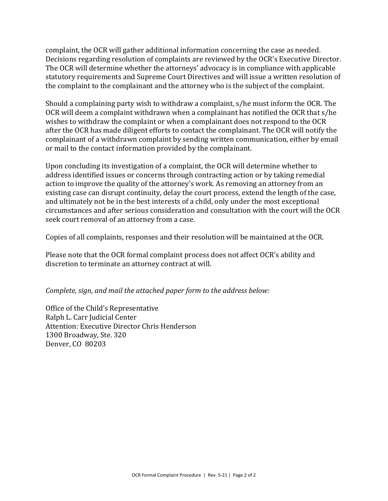complaint, the OCR will gather additional information concerning the case as needed. Decisions regarding resolution of complaints are reviewed by the OCR's Executive Director. The OCR will determine whether the attorneys' advocacy is in compliance with applicable statutory requirements and Supreme Court Directives and will issue a written resolution of the complaint to the complainant and the attorney who is the subject of the complaint.

Should a complaining party wish to withdraw a complaint, s/he must inform the OCR. The OCR will deem a complaint withdrawn when a complainant has notified the OCR that s/he wishes to withdraw the complaint or when a complainant does not respond to the OCR after the OCR has made diligent efforts to contact the complainant. The OCR will notify the complainant of a withdrawn complaint by sending written communication, either by email or mail to the contact information provided by the complainant.

Upon concluding its investigation of a complaint, the OCR will determine whether to address identified issues or concerns through contracting action or by taking remedial action to improve the quality of the attorney's work. As removing an attorney from an existing case can disrupt continuity, delay the court process, extend the length of the case, and ultimately not be in the best interests of a child, only under the most exceptional circumstances and after serious consideration and consultation with the court will the OCR seek court removal of an attorney from a case.

Copies of all complaints, responses and their resolution will be maintained at the OCR.

Please note that the OCR formal complaint process does not affect OCR's ability and discretion to terminate an attorney contract at will.

*Complete, sign, and mail the attached paper form to the address below:*

Office of the Child's Representative Ralph L. Carr Judicial Center Attention: Executive Director Chris Henderson 1300 Broadway, Ste. 320 Denver, CO 80203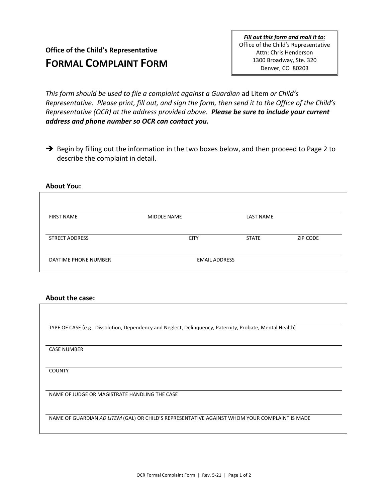### **Office of the Child's Representative FORMAL COMPLAINT FORM**

*Fill out this form and mail it to:* Office of the Child's Representative Attn: Chris Henderson 1300 Broadway, Ste. 320 Denver, CO 80203

*This form should be used to file a complaint against a Guardian* ad Litem *or Child's Representative. Please print, fill out, and sign the form, then send it to the Office of the Child's Representative (OCR) at the address provided above. Please be sure to include your current address and phone number so OCR can contact you.*

➔ Begin by filling out the information in the two boxes below, and then proceed to Page 2 to describe the complaint in detail.

### **About You:**

| <b>FIRST NAME</b>     | <b>MIDDLE NAME</b>   | <b>LAST NAME</b> |                 |
|-----------------------|----------------------|------------------|-----------------|
| <b>STREET ADDRESS</b> | <b>CITY</b>          | <b>STATE</b>     | <b>ZIP CODE</b> |
| DAYTIME PHONE NUMBER  | <b>EMAIL ADDRESS</b> |                  |                 |

#### **About the case:**

TYPE OF CASE (e.g., Dissolution, Dependency and Neglect, Delinquency, Paternity, Probate, Mental Health) CASE NUMBER **COUNTY** NAME OF JUDGE OR MAGISTRATE HANDLING THE CASE NAME OF GUARDIAN *AD LITEM* (GAL) OR CHILD'S REPRESENTATIVE AGAINST WHOM YOUR COMPLAINT IS MADE